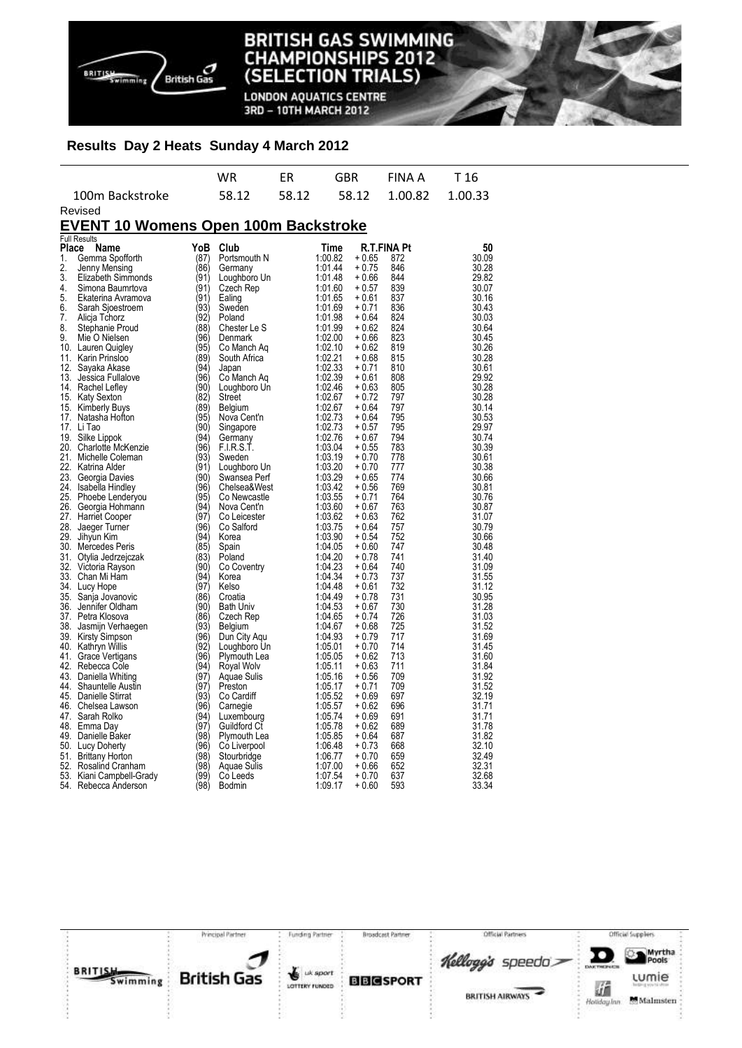

Revised

#### **BRITISH GAS SWIMMING IAMPIONSHIPS 2012** CH **TRIALS) (SELECTION**

**LONDON AQUATICS CENTRE** 3RD - 10TH MARCH 2012

# **Results Day 2 Heats Sunday 4 March 2012**

|                 | WR.   | FR. | GBR | FINAA T16 |  |
|-----------------|-------|-----|-----|-----------|--|
| 100m Backstroke | 58.12 |     |     |           |  |

## **EVENT 10 Womens Open 100m Backstroke**

|              | <b>Full Results</b>      |              |                  |         |             |     |                |
|--------------|--------------------------|--------------|------------------|---------|-------------|-----|----------------|
| <b>Place</b> | Name                     | YoB          | Club             | Time    | R.T.FINA Pt |     | 50             |
| 1.           | Gemma Spofforth          | (87)         | Portsmouth N     | 1:00.82 | + 0.65      | 872 | 30.09          |
| 2.           | Jenny Mensing            | (86)         | Germany          | 1:01.44 | + 0.75      | 846 | 30.28          |
| 3.           | Elizabeth Simmonds       | (91)         | Loughboro Un     | 1:01.48 | + 0.66      | 844 | 29.82          |
| 4.           | Simona Baumrtova         | (91)         | Czech Rep        | 1:01.60 | + 0.57      | 839 | 30.07          |
| 5.           | Ekaterina Avramova       | (91)         | Ealing           | 1:01.65 | + 0.61      | 837 | 30.16          |
| 6.           | Sarah Sjoestroem         | (93)         | Sweden           | 1:01.69 | + 0.71      | 836 | 30.43          |
| 7.           | Alicja Tchorz            | (92)         | Poland           | 1:01.98 | + 0.64      | 824 | 30.03          |
| 8.           | Stephanie Proud          | (88)         | Chester Le S     | 1:01.99 | + 0.62      | 824 | 30.64          |
| 9.           | Mie O Nielsen            | (96)         | Denmark          | 1:02.00 | + 0.66      | 823 | 30.45          |
|              | 10. Lauren Quigley       | (95)         | Co Manch Aq      | 1:02.10 | + 0.62      | 819 | 30.26          |
|              | 11. Karin Prinsloo       | (89)         | South Africa     | 1:02.21 | + 0.68      | 815 | 30.28          |
|              | 12. Sayaka Akase         | (94)         | Japan            | 1:02.33 | + 0.71      | 810 | 30.61          |
|              | 13. Jessica Fullalove    | (96)         | Co Manch Aq      | 1:02.39 | + 0.61      | 808 | 29.92          |
|              | 14. Rachel Lefley        | (90)         | Loughboro Un     | 1:02.46 | $+0.63$     | 805 | 30.28          |
|              | 15. Katy Sexton          | (82)         | Street           | 1:02.67 | + 0.72      | 797 | 30.28          |
|              | 15. Kimberly Buys        | (89)         | <b>Belgium</b>   | 1:02.67 | + 0.64      | 797 | 30.14          |
|              | 17. Natasha Hotton       | (95)         | Nova Cent'n      | 1:02.73 | + 0.64      | 795 | 30.53          |
|              | 17. Li Tao               | (90)         |                  | 1:02.73 | + 0.57      | 795 | 29.97          |
|              |                          |              | Singapore        |         |             |     |                |
|              | 19. Silke Lippok         | (94)<br>(96) | Germany          | 1:02.76 | + 0.67      | 794 | 30.74<br>30.39 |
|              | 20. Charlotte McKenzie   |              | F.I.R.S.T.       | 1:03.04 | + 0.55      | 783 |                |
|              | 21. Michelle Coleman     | (93)         | Sweden           | 1:03.19 | + 0.70      | 778 | 30.61          |
|              | 22. Katrina Alder        | (91)         | Loughboro Un     | 1:03.20 | $+0.70$     | 777 | 30.38          |
|              | 23. Georgia Davies       | (90)         | Swansea Perf     | 1:03.29 | + 0.65      | 774 | 30.66          |
|              | 24. Isabella Hindley     | (96)         | Chelsea&West     | 1:03.42 | + 0.56      | 769 | 30.81          |
|              | 25. Phoebe Lenderyou     | (95)         | Co Newcastle     | 1:03.55 | + 0.71      | 764 | 30.76          |
|              | 26. Georgia Hohmann      | (94)         | Nova Cent'n      | 1:03.60 | + 0.67      | 763 | 30.87          |
|              | 27. Harriet Cooper       | (97)         | Co Leicester     | 1:03.62 | $+0.63$     | 762 | 31.07          |
|              | 28. Jaeger Turner        | (96)         | Co Salford       | 1:03.75 | + 0.64      | 757 | 30.79          |
|              | 29. Jihyun Kim           | (94)         | Korea            | 1:03.90 | + 0.54      | 752 | 30.66          |
|              | 30. Mercedes Peris       | (85)         | Spain            | 1:04.05 | $+0.60$     | 747 | 30.48          |
|              | 31. Otylia Jedrzejczak   | (83)         | Poland           | 1:04.20 | + 0.78      | 741 | 31.40          |
|              | 32. Victoria Rayson      | (90)         | Co Coventry      | 1:04.23 | + 0.64      | 740 | 31.09          |
|              | 33. Chan Mi Ham          | (94)         | Korea            | 1:04.34 | + 0.73      | 737 | 31.55          |
|              | 34. Lucy Hope            | (97)         | Kelso            | 1:04.48 | + 0.61      | 732 | 31.12          |
|              | 35. Sanja Jovanovic      | (86)         | Croatia          | 1:04.49 | + 0.78      | 731 | 30.95          |
|              | 36. Jennifer Oldham      | (90)         | <b>Bath Univ</b> | 1:04.53 | $+0.67$     | 730 | 31.28          |
|              | 37. Petra Klosova        | (86)         | Czech Rep        | 1:04.65 | + 0.74      | 726 | 31.03          |
|              | 38. Jasmijn Verhaegen    | (93)         | Belgium          | 1:04.67 | + 0.68      | 725 | 31.52          |
|              | 39. Kirsty Simpson       | (96)         | Dun City Agu     | 1:04.93 | + 0.79      | 717 | 31.69          |
|              | 40. Kathryn Willis       | (92)         | Loughboro Un     | 1:05.01 | + 0.70      | 714 | 31.45          |
|              | 41. Grace Vertigans      | (96)         | Plymouth Lea     | 1:05.05 | + 0.62      | 713 | 31.60          |
|              | 42. Rebecca Cole         | (94)         | Royal Wolv       | 1:05.11 | $+0.63$     | 711 | 31.84          |
|              | 43. Daniella Whiting     | (97)         | Aquae Sulis      | 1:05.16 | + 0.56      | 709 | 31.92          |
|              | 44. Shauntelle Austin    | (97)         | Preston          | 1:05.17 | + 0.71      | 709 | 31.52          |
|              | 45. Danielle Stirrat     | (93)         | Co Cardiff       | 1:05.52 | + 0.69      | 697 | 32.19          |
|              | 46. Chelsea Lawson       | (96)         | Carnegie         | 1:05.57 | + 0.62      | 696 | 31.71          |
|              | 47. Sarah Rolko          | (94)         | Luxembourg       | 1:05.74 | + 0.69      | 691 | 31.71          |
|              | 48. Emma Day             | (97)         | Guildford Ct     | 1:05.78 | $+0.62$     | 689 | 31.78          |
|              | 49. Danielle Baker       | (98)         | Plymouth Lea     | 1:05.85 | + 0.64      | 687 | 31.82          |
|              | 50. Lucy Doherty         | (96)         | Co Liverpool     | 1:06.48 | + 0.73      | 668 | 32.10          |
|              | 51. Brittany Horton      | (98)         | Stourbridge      | 1:06.77 | $+0.70$     | 659 | 32.49          |
|              | 52. Rosalind Cranham     | (98)         | Aquae Sulis      | 1:07.00 | + 0.66      | 652 | 32.31          |
|              | 53. Kiani Campbell-Grady | (99)         | Co Leeds         | 1:07.54 | + 0.70      | 637 | 32.68          |
|              | 54. Rebecca Anderson     | (98)         | <b>Bodmin</b>    | 1:09.17 | + 0.60      | 593 | 33.34          |
|              |                          |              |                  |         |             |     |                |

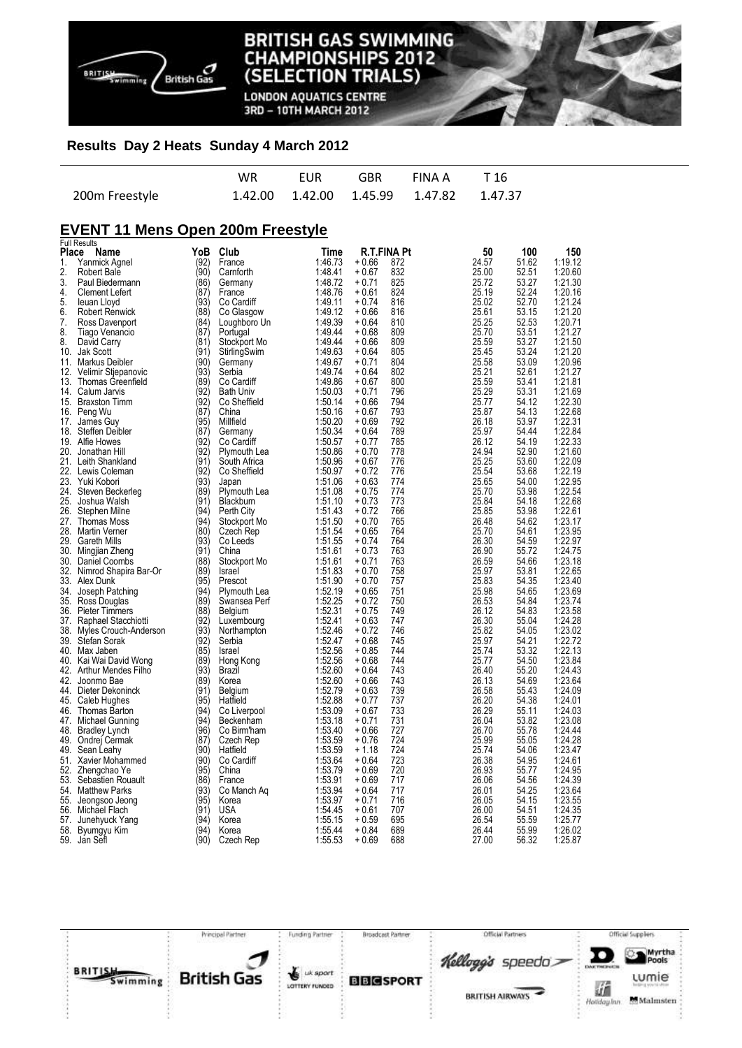

**LONDON AQUATICS CENTRE** 3RD - 10TH MARCH 2012

#### **Results Day 2 Heats Sunday 4 March 2012**

|                | WR. | <b>EUR</b> | GBR FINAIA T16                              |  |
|----------------|-----|------------|---------------------------------------------|--|
| 200m Freestyle |     |            | 1.42.00  1.42.00  1.45.99  1.47.82  1.47.37 |  |

# **EVENT 11 Mens Open 200m Freestyle**

|              | <b>Full Results</b>      |      |                  |         |         |             |       |       |         |
|--------------|--------------------------|------|------------------|---------|---------|-------------|-------|-------|---------|
| <b>Place</b> | Name                     | YoB  | Club             | Time    |         | R.T.FINA Pt | 50    | 100   | 150     |
| 1.           | Yanmick Agnel            | (92) | France           | 1:46.73 | + 0.66  | 872         | 24.57 | 51.62 | 1:19.12 |
| 2.           | Robert Bale              | (90) | Camforth         | 1:48.41 | $+0.67$ | 832         | 25.00 | 52.51 | 1:20.60 |
|              |                          |      |                  |         |         |             |       |       |         |
| 3.           | Paul Biedermann          | (86) | Germany          | 1:48.72 | $+0.71$ | 825         | 25.72 | 53.27 | 1:21.30 |
| 4.           | <b>Clement Lefert</b>    | (87) | France           | 1:48.76 | + 0.61  | 824         | 25.19 | 52.24 | 1:20.16 |
| 5.           | leuan Lloyd              | (93) | Co Cardiff       | 1:49.11 | $+0.74$ | 816         | 25.02 | 52.70 | 1:21.24 |
| 6.           | <b>Robert Renwick</b>    | (88) | Co Glasgow       | 1:49.12 | + 0.66  | 816         | 25.61 | 53.15 | 1:21.20 |
| 7.           | Ross Davenport           | (84) | Loughboro Un     | 1:49.39 | + 0.64  | 810         | 25.25 | 52.53 | 1:20.71 |
| 8.           |                          | (87) |                  | 1:49.44 | $+0.68$ | 809         | 25.70 | 53.51 | 1:21.27 |
|              | Tiago Venancio           |      | Portugal         |         |         |             |       |       |         |
| 8.           | David Carry              | (81) | Stockport Mo     | 1:49.44 | + 0.66  | 809         | 25.59 | 53.27 | 1:21.50 |
| 10.          | Jak Scott                | (91) | StirlingSwim     | 1:49.63 | + 0.64  | 805         | 25.45 | 53.24 | 1:21.20 |
| 11.          | Markus Deibler           | (90) | Germany          | 1:49.67 | + 0.71  | 804         | 25.58 | 53.09 | 1:20.96 |
| 12.          | Velimir Stjepanovic      | (93) | Serbia           | 1:49.74 | $+0.64$ | 802         | 25.21 | 52.61 | 1:21.27 |
| 13.          | <b>Thomas Greenfield</b> | (89) | Co Cardiff       | 1:49.86 | + 0.67  | 800         | 25.59 | 53.41 | 1:21.81 |
|              |                          | (92) |                  |         |         |             |       |       |         |
| 14.          | Calum Jarvis             |      | <b>Bath Univ</b> | 1:50.03 | + 0.71  | 796         | 25.29 | 53.31 | 1:21.69 |
| 15.          | <b>Braxston Timm</b>     | (92' | Co Sheffield     | 1:50.14 | $+0.66$ | 794         | 25.77 | 54.12 | 1:22.30 |
| 16.          | Peng Wu                  | (87' | China            | 1:50.16 | $+0.67$ | 793         | 25.87 | 54.13 | 1:22.68 |
| 17.          | James Guy                | (95) | Millfield        | 1:50.20 | $+0.69$ | 792         | 26.18 | 53.97 | 1:22.31 |
| 18.          | Steffen Deibler          | (87) | Germany          | 1:50.34 | + 0.64  | 789         | 25.97 | 54.44 | 1:22.84 |
| 19.          | Alfie Howes              | (92' | Co Cardiff       | 1:50.57 | $+0.77$ | 785         | 26.12 | 54.19 | 1:22.33 |
|              |                          |      |                  |         |         |             |       |       |         |
|              | 20. Jonathan Hill        | (92) | Plymouth Lea     | 1:50.86 | + 0.70  | 778         | 24.94 | 52.90 | 1:21.60 |
|              | 21. Leith Shankland      | (91) | South Africa     | 1:50.96 | + 0.67  | 776         | 25.25 | 53.60 | 1:22.09 |
|              | 22. Lewis Coleman        | (92) | Co Sheffield     | 1:50.97 | + 0.72  | 776         | 25.54 | 53.68 | 1:22.19 |
|              | 23. Yuki Kobori          | (93) | Japan            | 1:51.06 | $+0.63$ | 774         | 25.65 | 54.00 | 1:22.95 |
| 24.          | Steven Beckerleg         | (89) | Plymouth Lea     | 1:51.08 | + 0.75  | 774         | 25.70 | 53.98 | 1:22.54 |
| 25.          |                          | (91) |                  | 1:51.10 | $+0.73$ | 773         | 25.84 | 54.18 | 1:22.68 |
|              | Joshua Walsh             |      | Blackburn        |         |         |             |       |       |         |
| 26.          | Stephen Milne            | (94) | Perth City       | 1:51.43 | + 0.72  | 766         | 25.85 | 53.98 | 1:22.61 |
| 27.          | <b>Thomas Moss</b>       | (94) | Stockport Mo     | 1:51.50 | + 0.70  | 765         | 26.48 | 54.62 | 1:23.17 |
| 28.          | <b>Martin Verner</b>     | (80) | Czech Rep        | 1:51.54 | + 0.65  | 764         | 25.70 | 54.61 | 1:23.95 |
| 29.          | <b>Gareth Mills</b>      | (93) | Co Leeds         | 1:51.55 | $+0.74$ | 764         | 26.30 | 54.59 | 1:22.97 |
| 30.          | Mingjian Zheng           | (91) | China            | 1:51.61 | $+0.73$ | 763         | 26.90 | 55.72 | 1:24.75 |
| 30.          | Daniel Coombs            | (88) | Stockport Mo     | 1:51.61 | $+0.71$ | 763         | 26.59 | 54.66 | 1:23.18 |
|              |                          |      |                  |         |         |             |       |       |         |
| 32.          | Nimrod Shapira Bar-Or    | (89) | Israel           | 1:51.83 | + 0.70  | 758         | 25.97 | 53.81 | 1:22.65 |
| 33.          | Alex Dunk                | (95) | Prescot          | 1:51.90 | $+0.70$ | 757         | 25.83 | 54.35 | 1:23.40 |
| 34.          | Joseph Patching          | (94) | Plymouth Lea     | 1:52.19 | + 0.65  | 751         | 25.98 | 54.65 | 1:23.69 |
|              | 35. Ross Douglas         | (89) | Swansea Perf     | 1:52.25 | $+0.72$ | 750         | 26.53 | 54.84 | 1:23.74 |
| 36.          | <b>Pieter Timmers</b>    | (88) | Belgium          | 1:52.31 | $+0.75$ | 749         | 26.12 | 54.83 | 1:23.58 |
| 37.          | Raphael Stacchiotti      | (92' | Luxembourg       | 1:52.41 | + 0.63  | 747         | 26.30 | 55.04 | 1:24.28 |
|              |                          | (93) |                  |         |         |             |       |       | 1:23.02 |
| 38.          | Myles Crouch-Anderson    |      | Northampton      | 1:52.46 | + 0.72  | 746         | 25.82 | 54.05 |         |
|              | 39. Stefan Sorak         | (92) | Serbia           | 1:52.47 | $+0.68$ | 745         | 25.97 | 54.21 | 1:22.72 |
|              | 40. Max Jaben            | (85) | Israel           | 1:52.56 | $+0.85$ | 744         | 25.74 | 53.32 | 1:22.13 |
| 40.          | Kai Wai David Wong       | (89) | Hong Kong        | 1:52.56 | $+0.68$ | 744         | 25.77 | 54.50 | 1:23.84 |
| 42.          | Arthur Mendes Filho      | (93) | Brazil           | 1:52.60 | $+0.64$ | 743         | 26.40 | 55.20 | 1:24.43 |
| 42.          | Joonmo Bae               | (89) | Korea            | 1:52.60 | $+0.66$ | 743         | 26.13 | 54.69 | 1:23.64 |
|              |                          | (91) |                  |         | $+0.63$ | 739         | 26.58 | 55.43 | 1:24.09 |
| 44.          | Dieter Dekoninck         |      | Belgium          | 1:52.79 |         |             |       |       |         |
| 45.          | Caleb Hughes             | (95) | Hatfield         | 1:52.88 | $+0.77$ | 737         | 26.20 | 54.38 | 1:24.01 |
| 46.          | Thomas Barton            | (94) | Co Liverpool     | 1:53.09 | + 0.67  | 733         | 26.29 | 55.11 | 1:24.03 |
| 47.          | Michael Gunning          | (94) | Beckenham        | 1:53.18 | $+0.71$ | 731         | 26.04 | 53.82 | 1:23.08 |
|              | 48. Bradley Lynch        | (96) | Co Birm'ham      | 1:53.40 | + 0.66  | 727         | 26.70 | 55.78 | 1:24.44 |
|              | 49. Ondrej Cermak        | (87) | Czech Rep        | 1:53.59 | $+0.76$ | 724         | 25.99 | 55.05 | 1:24.28 |
|              |                          |      |                  |         |         |             |       |       |         |
| 49.          | Sean Leahy               | (90) | Hatfield         | 1:53.59 | $+1.18$ | 724         | 25.74 | 54.06 | 1:23.47 |
| 51.          | Xavier Mohammed          | (90) | Co Cardiff       | 1:53.64 | $+0.64$ | 723         | 26.38 | 54.95 | 1:24.61 |
|              | 52. Zhengchao Ye         | (95) | China            | 1:53.79 | + 0.69  | 720         | 26.93 | 55.77 | 1:24.95 |
| 53.          | Sebastien Rouault        | (86) | France           | 1:53.91 | $+0.69$ | 717         | 26.06 | 54.56 | 1:24.39 |
| 54.          | <b>Matthew Parks</b>     | (93) | Co Manch Aq      | 1:53.94 | + 0.64  | 717         | 26.01 | 54.25 | 1:23.64 |
| 55.          | Jeongsoo Jeong           | (95) | Korea            | 1:53.97 | $+0.71$ | 716         | 26.05 | 54.15 | 1:23.55 |
| 56.          | Michael Flach            | (91) | <b>USA</b>       | 1:54.45 | $+0.61$ | 707         | 26.00 | 54.51 | 1:24.35 |
|              |                          |      |                  |         |         |             |       |       |         |
| 57.          | Junehyuck Yang           | (94) | Korea            | 1:55.15 | + 0.59  | 695         | 26.54 | 55.59 | 1:25.77 |
|              | 58. Byumgyu Kim          | (94) | Korea            | 1:55.44 | $+0.84$ | 689         | 26.44 | 55.99 | 1:26.02 |
|              | 59. Jan Sefl             | (90) | Czech Rep        | 1:55.53 | + 0.69  | 688         | 27.00 | 56.32 | 1:25.87 |

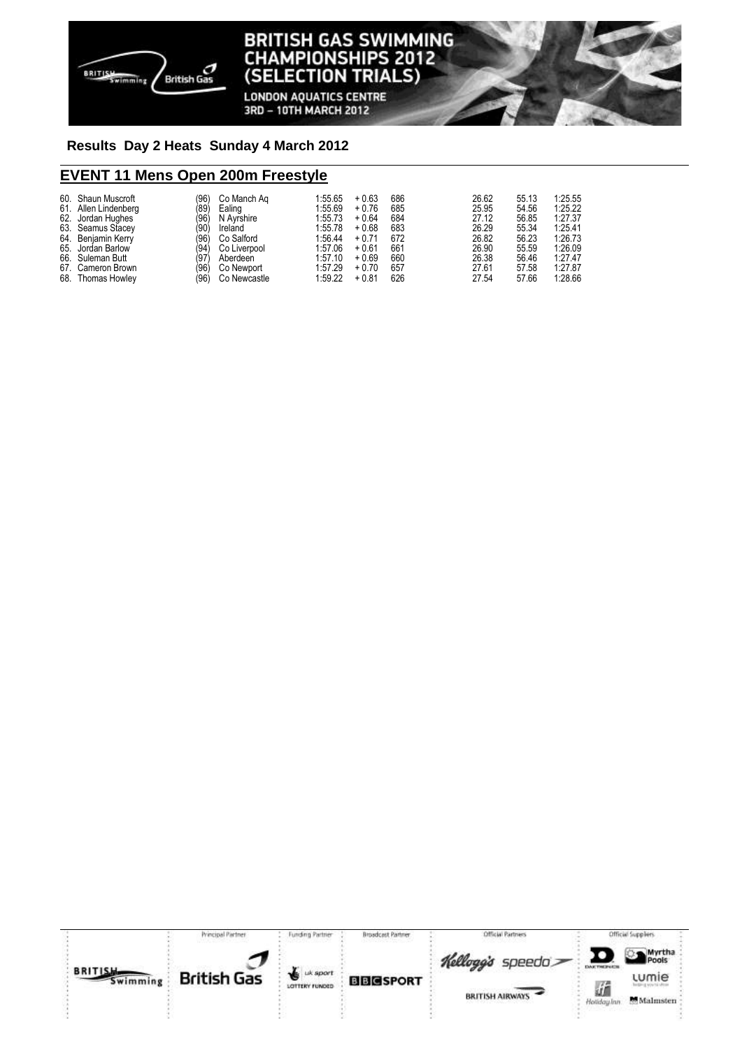

**LONDON AQUATICS CENTRE** 3RD - 10TH MARCH 2012

## **Results Day 2 Heats Su nday 4 March 2012**

# **EVENT 11 Mens Open 200m Freestyle**

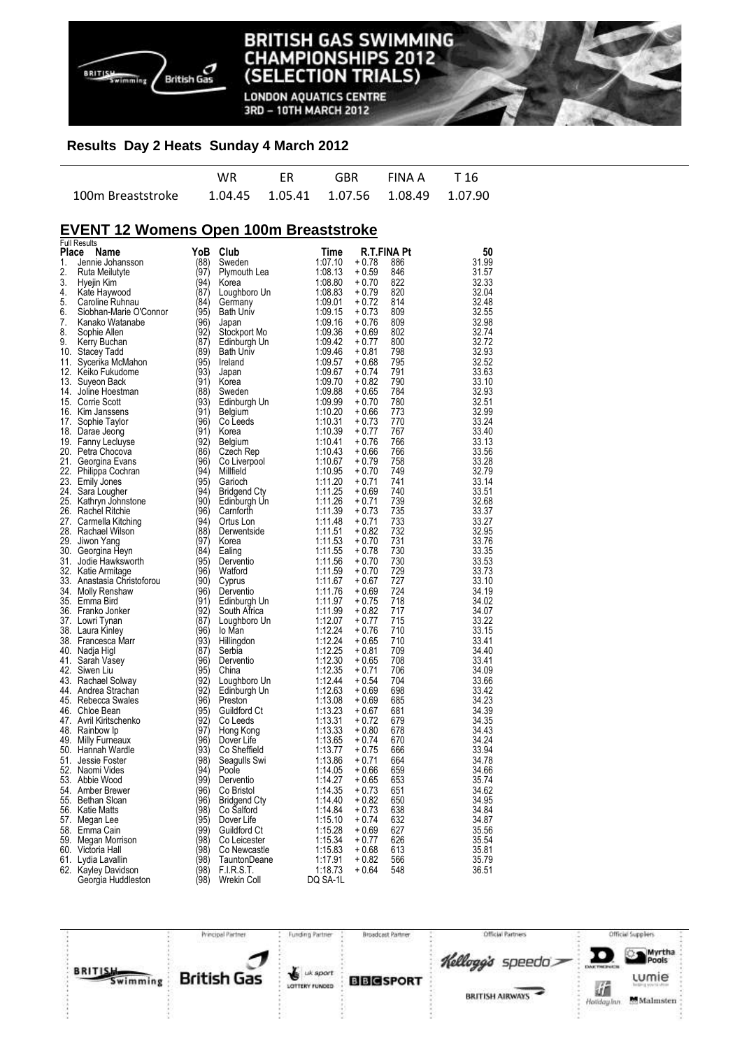

**LONDON AQUATICS CENTRE** 3RD - 10TH MARCH 2012

### **Results Day 2 Heats Sunday 4 March 2012**

| WR. | FR <b>FR</b> | GBR FINAIA T16 |  |
|-----|--------------|----------------|--|
|     |              |                |  |

# **EVENT 12 Womens Open 100m Breaststroke**

|       | <b>Full Results</b>        |      |                  |                    |             |     |       |
|-------|----------------------------|------|------------------|--------------------|-------------|-----|-------|
| Place | Name                       | YoB  | Club             | Time               | R.T.FINA Pt |     | 50    |
| 1.    | Jennie Johansson           | (88) | Sweden           | 1:07.10            | $+0.78$     | 886 | 31.99 |
| 2.    | Ruta Meilutyte             | (97) | Plymouth Lea     | 1:08.13            | $+0.59$     | 846 | 31.57 |
| 3.    | Hyejin Kim                 | (94) | Korea            | 1:08.80            | $+0.70$     | 822 | 32.33 |
| 4.    | Kate Haywood               | (87) | Loughboro Un     | 1:08.83            | $+0.79$     | 820 | 32.04 |
| 5.    | Caroline Ruhnau            | (84) | Germany          | 1:09.01            | $+0.72$     | 814 | 32.48 |
| 6.    | Siobhan-Marie O'Connor     | (95) | Bath Univ        | 1:09.15            | $+0.73$     | 809 | 32.55 |
| 7.    | Kanako Watanabe            | (96) | Japan            | 1:09.16            | $+0.76$     | 809 | 32.98 |
| 8.    | Sophie Allen               | (92) | Stockport Mo     | 1:09.36            | $+0.69$     | 802 | 32.74 |
| 9.    | Kerry Buchan               | (87) | Edinburgh Un     | 1:09.42            | $+0.77$     | 800 | 32.72 |
|       | 10. Stacey Tadd            | (89) | <b>Bath Univ</b> | 1:09.46            | $+0.81$     | 798 | 32.93 |
| 11.   | Sycerika McMahon           | (95) | Ireland          | 1:09.57            | $+0.68$     | 795 | 32.52 |
|       | 12. Keiko Fukudome         | (93) | Japan            | 1:09.67            | $+0.74$     | 791 | 33.63 |
| 13.   | Suyeon Back                | (91) | Korea            | 1:09.70            | $+0.82$     | 790 | 33.10 |
|       | 14. Joline Hoestman        | (88) | Sweden           | 1:09.88            | $+0.65$     | 784 | 32.93 |
|       | 15. Corrie Scott           | (93) | Edinburgh Un     | 1:09.99            | $+0.70$     | 780 | 32.51 |
|       | 16. Kim Janssens           | (91) | Belgium          | 1:10.20            | $+0.66$     | 773 | 32.99 |
| 17.   | Sophie Taylor              | (96) | Co Leeds         | 1:10.31            | $+0.73$     | 770 | 33.24 |
|       |                            | (91) | Korea            | 1:10.39            | $+0.77$     | 767 | 33.40 |
|       | 18. Darae Jeong            | (92) |                  |                    |             |     |       |
|       | 19. Fanny Lecluyse         |      | Belgium          | 1:10.41            | $+0.76$     | 766 | 33.13 |
|       | 20. Petra Chocova          | (86) | Czech Rep        | 1:10.43            | $+0.66$     | 766 | 33.56 |
|       | 21. Georgina Evans         | (96) | Co Liverpool     | 1:10.67            | $+0.79$     | 758 | 33.28 |
|       | 22. Philippa Cochran       | (94) | Millfield        | 1:10.95            | $+0.70$     | 749 | 32.79 |
|       | 23. Emily Jones            | (95) | Garioch          | 1:11.20            | $+0.71$     | 741 | 33.14 |
| 24.   | Sara Lougher               | (94) | Bridgend Cty     | 1:11.25            | $+0.69$     | 740 | 33.51 |
| 25.   | Kathryn Johnstone          | (90) | Edinburgh Un     | 1:11.26            | $+0.71$     | 739 | 32.68 |
|       | 26. Rachel Ritchie         | (96) | Camforth         | 1:11.39            | $+0.73$     | 735 | 33.37 |
|       | 27. Carmella Kitching      | (94) | Ortus Lon        | 1:11.48            | $+0.71$     | 733 | 33.27 |
|       | 28. Rachael Wilson         | (88) | Derwentside      | 1:11.51            | $+0.82$     | 732 | 32.95 |
|       | 29. Jiwon Yang             | (97) | Korea            | 1:11.53            | $+0.70$     | 731 | 33.76 |
|       | 30. Georgina Heyn          | (84) | Ealing           | 1:11.55            | $+0.78$     | 730 | 33.35 |
| 31.   | Jodie Hawksworth           | (95) | Derventio        | 1:11.56            | $+0.70$     | 730 | 33.53 |
|       | 32. Katie Armitage         | (96) | Watford          | 1:11.59            | + 0.70      | 729 | 33.73 |
|       | 33. Anastasia Christoforou | (90) | Cyprus           | 1:11.67            | $+0.67$     | 727 | 33.10 |
|       | 34. Molly Renshaw          | (96) | Derventio        | 1:11.76            | $+0.69$     | 724 | 34.19 |
|       | 35. Emma Bird              | (91) | Edinburgh Un     | 1:11.97            | $+0.75$     | 718 | 34.02 |
|       | 36. Franko Jonker          | (92) | South Africa     | 1:11.99            | $+0.82$     | 717 | 34.07 |
|       | 37. Lowri Tynan            | (87) | Loughboro Un     | 1:12.07            | $+0.77$     | 715 | 33.22 |
|       | 38. Laura Kinley           | (96) | lo Man           | 1:12.24            | $+0.76$     | 710 | 33.15 |
|       | 38. Francesca Marr         | (93) | Hillingdon       | 1:12.24            | $+0.65$     | 710 | 33.41 |
|       | 40. Nadja Higl             | (87) | Serbia           | 1:12.25            | $+0.81$     | 709 | 34.40 |
|       | 41. Sarah Vasey            | (96) | Derventio        | 1:12.30            | $+0.65$     | 708 | 33.41 |
|       | 42. Siwen Liu              | (95) | China            | 1:12.35            | $+0.71$     | 706 | 34.09 |
|       | 43. Rachael Solway         | (92) | Loughboro Un     | 1:12.44            | $+0.54$     | 704 | 33.66 |
|       | 44. Andrea Strachan        | (92) | Edinburgh Un     | 1:12.63            | $+0.69$     | 698 | 33.42 |
|       | 45. Rebecca Swales         | (96) | Preston          | 1:13.08            | $+0.69$     | 685 | 34.23 |
|       | 46. Chloe Bean             | (95) | Guildford Ct     | 1:13.23            | $+0.67$     | 681 | 34.39 |
|       | 47. Avril Kiritschenko     | (92) |                  |                    | $+0.72$     | 679 |       |
|       |                            | (97) | Co Leeds         | 1:13.31<br>1:13.33 |             |     | 34.35 |
| 48.   | Rainbow Ip                 |      | Hong Kong        |                    | $+0.80$     | 678 | 34.43 |
|       | 49. Milly Furneaux         | (96) | Dover Life       | 1:13.65            | $+0.74$     | 670 | 34.24 |
|       | 50. Hannah Wardle          | (93) | Co Sheffield     | 1:13.77            | $+0.75$     | 666 | 33.94 |
| 51.   | Jessie Foster              | (98) | Seagulls Swi     | 1:13.86            | $+0.71$     | 664 | 34.78 |
|       | 52. Naomi Vides            | (94) | Poole            | 1:14.05            | $+0.66$     | 659 | 34.66 |
|       | 53. Abbie Wood             | (99) | Derventio        | 1:14.27            | $+0.65$     | 653 | 35.74 |
|       | 54. Amber Brewer           | (96) | Co Bristol       | 1:14.35            | $+0.73$     | 651 | 34.62 |
|       | 55. Bethan Sloan           | (96) | Bridgend Cty     | 1:14.40            | $+0.82$     | 650 | 34.95 |
|       | 56. Katie Matts            | (98) | Co Salford       | 1:14.84            | $+0.73$     | 638 | 34.84 |
| 57.   | Megan Lee                  | (95) | Dover Life       | 1:15.10            | $+0.74$     | 632 | 34.87 |
|       | 58. Emma Cain              | (99) | Guildford Ct     | 1:15.28            | $+0.69$     | 627 | 35.56 |
|       | 59. Megan Morrison         | (98) | Co Leicester     | 1:15.34            | $+0.77$     | 626 | 35.54 |
|       | 60. Victoria Hall          | (98) | Co Newcastle     | 1:15.83            | $+0.68$     | 613 | 35.81 |
| 61.   | Lydia Lavallin             | (98) | TauntonDeane     | 1:17.91            | $+0.82$     | 566 | 35.79 |
|       | 62. Kayley Davidson        | (98) | F.I.R.S.T.       | 1:18.73            | + 0.64      | 548 | 36.51 |
|       | Georgia Huddleston         | (98) | Wrekin Coll      | DQ SA-1L           |             |     |       |

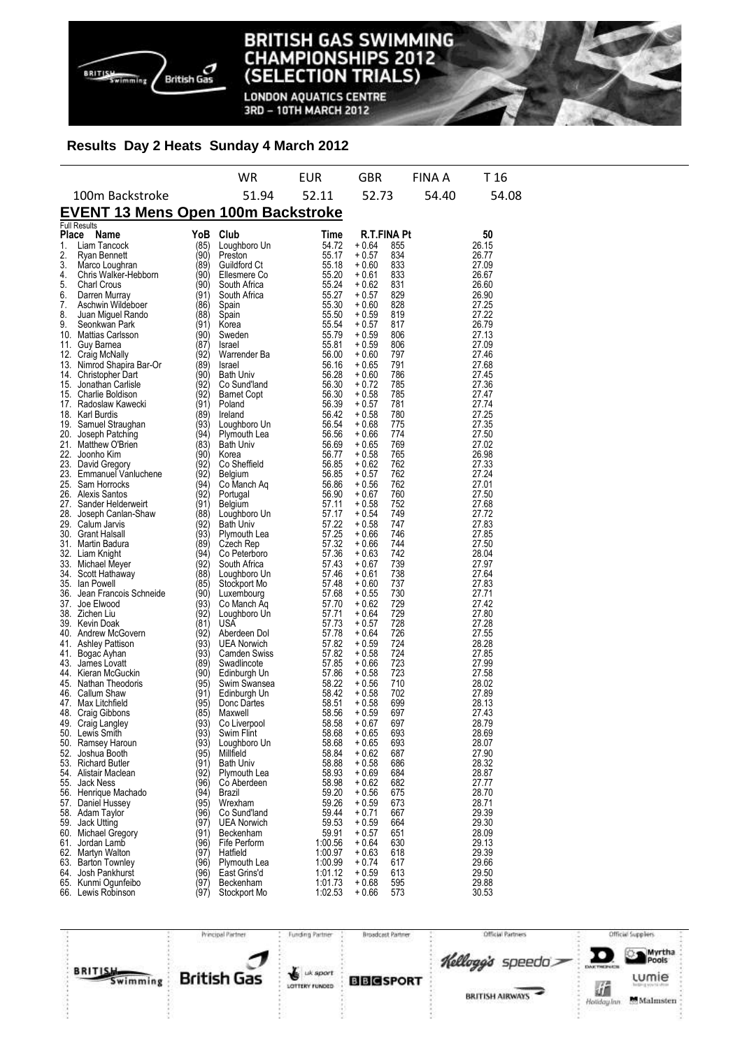

**LONDON AQUATICS CENTRE** 3RD - 10TH MARCH 2012

### **Results Day 2 Heats Sunday 4 March 2012**

|                                                                                                                     |                                                                                                                                                                                                                                                                                                                                                                                                                                                                                                                                                                                                                                                                                                                                                                                                                                                                                                                                                                |                                                                                                                                                                                                                                                                                                                                                             | WR                                                                                                                                                                                                                                                                                                                                                                                                                                                                                                                                                                                                                                                     | EUR                                                                                                                                                                                                                                                                                                                                                                                             | <b>GBR</b>                                                                                                                                                                                                                                                                                                                                                                                                                                                                                              | FINA A                                                                                                                                                                                                                                                                                                    | T 16                                                                                                                                                                                                                                                                                                                                                                                                  |
|---------------------------------------------------------------------------------------------------------------------|----------------------------------------------------------------------------------------------------------------------------------------------------------------------------------------------------------------------------------------------------------------------------------------------------------------------------------------------------------------------------------------------------------------------------------------------------------------------------------------------------------------------------------------------------------------------------------------------------------------------------------------------------------------------------------------------------------------------------------------------------------------------------------------------------------------------------------------------------------------------------------------------------------------------------------------------------------------|-------------------------------------------------------------------------------------------------------------------------------------------------------------------------------------------------------------------------------------------------------------------------------------------------------------------------------------------------------------|--------------------------------------------------------------------------------------------------------------------------------------------------------------------------------------------------------------------------------------------------------------------------------------------------------------------------------------------------------------------------------------------------------------------------------------------------------------------------------------------------------------------------------------------------------------------------------------------------------------------------------------------------------|-------------------------------------------------------------------------------------------------------------------------------------------------------------------------------------------------------------------------------------------------------------------------------------------------------------------------------------------------------------------------------------------------|---------------------------------------------------------------------------------------------------------------------------------------------------------------------------------------------------------------------------------------------------------------------------------------------------------------------------------------------------------------------------------------------------------------------------------------------------------------------------------------------------------|-----------------------------------------------------------------------------------------------------------------------------------------------------------------------------------------------------------------------------------------------------------------------------------------------------------|-------------------------------------------------------------------------------------------------------------------------------------------------------------------------------------------------------------------------------------------------------------------------------------------------------------------------------------------------------------------------------------------------------|
|                                                                                                                     | 100m Backstroke                                                                                                                                                                                                                                                                                                                                                                                                                                                                                                                                                                                                                                                                                                                                                                                                                                                                                                                                                |                                                                                                                                                                                                                                                                                                                                                             | 51.94                                                                                                                                                                                                                                                                                                                                                                                                                                                                                                                                                                                                                                                  | 52.11                                                                                                                                                                                                                                                                                                                                                                                           | 52.73                                                                                                                                                                                                                                                                                                                                                                                                                                                                                                   | 54.40                                                                                                                                                                                                                                                                                                     | 54.08                                                                                                                                                                                                                                                                                                                                                                                                 |
|                                                                                                                     | EVENT 13 Mens Open 100m Backstroke                                                                                                                                                                                                                                                                                                                                                                                                                                                                                                                                                                                                                                                                                                                                                                                                                                                                                                                             |                                                                                                                                                                                                                                                                                                                                                             |                                                                                                                                                                                                                                                                                                                                                                                                                                                                                                                                                                                                                                                        |                                                                                                                                                                                                                                                                                                                                                                                                 |                                                                                                                                                                                                                                                                                                                                                                                                                                                                                                         |                                                                                                                                                                                                                                                                                                           |                                                                                                                                                                                                                                                                                                                                                                                                       |
|                                                                                                                     |                                                                                                                                                                                                                                                                                                                                                                                                                                                                                                                                                                                                                                                                                                                                                                                                                                                                                                                                                                |                                                                                                                                                                                                                                                                                                                                                             |                                                                                                                                                                                                                                                                                                                                                                                                                                                                                                                                                                                                                                                        | Time                                                                                                                                                                                                                                                                                                                                                                                            |                                                                                                                                                                                                                                                                                                                                                                                                                                                                                                         |                                                                                                                                                                                                                                                                                                           |                                                                                                                                                                                                                                                                                                                                                                                                       |
| <b>Place</b><br>1.<br>2.<br>3.<br>4.<br>5.<br>6.<br>7.<br>8.<br>9.<br>12.<br>15.<br>21.<br>27.<br>37.<br>41.<br>41. | <b>Full Results</b><br>Name<br>Liam Tancock<br>Ryan Bennett<br>Marco Loughran<br>Chris Walker-Hebborn<br><b>Charl Crous</b><br>Darren Murray<br>Aschwin Wildeboer<br>Juan Miguel Rando<br>Seonkwan Park<br>10. Mattias Carlsson<br>11. Guy Barnea<br>Craig McNally<br>13. Nimrod Shapira Bar-Or<br>14. Christopher Dart<br>Jonathan Carlisle<br>15. Charlie Boldison<br>17. Radoslaw Kawecki<br>18. Karl Burdis<br>19. Samuel Straughan<br>20. Joseph Patching<br>Matthew O'Brien<br>22. Joonho Kim<br>23. David Gregory<br>23. Emmanuel Vanluchene<br>25. Sam Horrocks<br>26. Alexis Santos<br>Sander Helderweirt<br>28. Joseph Canlan-Shaw<br>29. Calum Jarvis<br>30. Grant Halsall<br>31. Martin Badura<br>32. Liam Knight<br>33. Michael Meyer<br>34. Scott Hathaway<br>35. Ian Powell<br>36. Jean Francois Schneide<br>Joe Elwood<br>38. Zichen Liu<br>39. Kevin Doak<br>40. Andrew McGovern<br><b>Ashley Pattison</b><br>Bogac Ayhan<br>43. James Lovatt | YoB<br>(85)<br>(90)<br>(89)<br>(90)<br>(90)<br>(91)<br>(86)<br>(88)<br>(91)<br>(90)<br>(87)<br>(92)<br>(89)<br>(90)<br>(92)<br>(92)<br>(91)<br>(89)<br>(93)<br>(94)<br>(83)<br>(90)<br>(92)<br>(92)<br>(94)<br>(92)<br>(91)<br>(88)<br>(92)<br>(93)<br>(89)<br>(94)<br>(92)<br>(88)<br>(85)<br>(90)<br>(93)<br>(92)<br>(81)<br>(92)<br>(93)<br>(93)<br>(89) | Club<br>Loughboro Un<br>Preston<br>Guildford Ct<br>Ellesmere Co<br>South Africa<br>South Africa<br>Spain<br>Spain<br>Korea<br>Sweden<br>Israel<br>Warrender Ba<br>Israel<br><b>Bath Univ</b><br>Co Sund'land<br><b>Barnet Copt</b><br>Poland<br>Ireland<br>Loughboro Un<br>Plymouth Lea<br><b>Bath Univ</b><br>Korea<br>Co Sheffield<br>Belgium<br>Co Manch Aq<br>Portugal<br>Belgium<br>Loughboro Un<br><b>Bath Univ</b><br>Plymouth Lea<br>Czech Rep<br>Co Peterboro<br>South Africa<br>Loughboro Un<br>Stockport Mo<br>Luxembourg<br>Co Manch Aq<br>Loughboro Un<br>USA<br>Aberdeen Dol<br><b>UEA Norwich</b><br><b>Camden Swiss</b><br>Swadlincote | 54.72<br>55.17<br>55.18<br>55.20<br>55.24<br>55.27<br>55.30<br>55.50<br>55.54<br>55.79<br>55.81<br>56.00<br>56.16<br>56.28<br>56.30<br>56.30<br>56.39<br>56.42<br>56.54<br>56.56<br>56.69<br>56.77<br>56.85<br>56.85<br>56.86<br>56.90<br>57.11<br>57.17<br>57.22<br>57.25<br>57.32<br>57.36<br>57.43<br>57.46<br>57.48<br>57.68<br>57.70<br>57.71<br>57.73<br>57.78<br>57.82<br>57.82<br>57.85 | <b>R.T.FINA Pt</b><br>$+0.64$<br>$+0.57$<br>$+0.60$<br>$+0.61$<br>+ 0.62<br>$+0.57$<br>$+0.60$<br>$+0.59$<br>$+0.57$<br>$+0.59$<br>$+0.59$<br>$+0.60$<br>$+0.65$<br>+ 0.60<br>$+0.72$<br>$+0.58$<br>$+0.57$<br>$+0.58$<br>$+0.68$<br>$+0.66$<br>$+0.65$<br>$+0.58$<br>+ 0.62<br>$+0.57$<br>$+0.56$<br>+ 0.67<br>$+0.58$<br>$+0.54$<br>$+0.58$<br>$+0.66$<br>$+0.66$<br>$+0.63$<br>$+0.67$<br>$+0.61$<br>$+0.60$<br>$+0.55$<br>$+0.62$<br>$+0.64$<br>$+0.57$<br>$+0.64$<br>$+0.59$<br>$+0.58$<br>$+0.66$ | 855<br>834<br>833<br>833<br>831<br>829<br>828<br>819<br>817<br>806<br>806<br>797<br>791<br>786<br>785<br>785<br>781<br>780<br>775<br>774<br>769<br>765<br>762<br>762<br>762<br>760<br>752<br>749<br>747<br>746<br>744<br>742<br>739<br>738<br>737<br>730<br>729<br>729<br>728<br>726<br>724<br>724<br>723 | 50<br>26.15<br>26.77<br>27.09<br>26.67<br>26.60<br>26.90<br>27.25<br>27.22<br>26.79<br>27.13<br>27.09<br>27.46<br>27.68<br>27.45<br>27.36<br>27.47<br>27.74<br>27.25<br>27.35<br>27.50<br>27.02<br>26.98<br>27.33<br>27.24<br>27.01<br>27.50<br>27.68<br>27.72<br>27.83<br>27.85<br>27.50<br>28.04<br>27.97<br>27.64<br>27.83<br>27.71<br>27.42<br>27.80<br>27.28<br>27.55<br>28.28<br>27.85<br>27.99 |
|                                                                                                                     | 44. Kieran McGuckin<br>45. Nathan Theodoris<br>46. Callum Shaw<br>47. Max Litchfield<br>48. Craig Gibbons<br>49. Craig Langley<br>50. Lewis Smith<br>50. Ramsey Haroun                                                                                                                                                                                                                                                                                                                                                                                                                                                                                                                                                                                                                                                                                                                                                                                         | (90)<br>(95)<br>(91)<br>(95)<br>(85)<br>(93)<br>(93)<br>(93)                                                                                                                                                                                                                                                                                                | Edinburgh Un<br>Swim Swansea<br>Edinburgh Un<br>Donc Dartes<br>Maxwell<br>Co Liverpool<br>Swim Flint<br>Loughboro Un                                                                                                                                                                                                                                                                                                                                                                                                                                                                                                                                   | 57.86<br>58.22<br>58.42<br>58.51<br>58.56<br>58.58<br>58.68<br>58.68                                                                                                                                                                                                                                                                                                                            | $+0.58$<br>$+0.56$<br>$+0.58$<br>$+0.58$<br>+ 0.59<br>+ 0.67<br>$+0.65$<br>$+0.65$                                                                                                                                                                                                                                                                                                                                                                                                                      | 723<br>710<br>702<br>699<br>697<br>697<br>693<br>693                                                                                                                                                                                                                                                      | 27.58<br>28.02<br>27.89<br>28.13<br>27.43<br>28.79<br>28.69<br>28.07                                                                                                                                                                                                                                                                                                                                  |
|                                                                                                                     | 52. Joshua Booth<br>53. Richard Butler<br>54. Alistair Maclean<br>55. Jack Ness<br>56. Henrique Machado<br>57. Daniel Hussey<br>58. Adam Taylor<br>59. Jack Utting<br>60. Michael Gregory<br>61. Jordan Lamb<br>62. Martyn Walton<br>63. Barton Townley<br>64. Josh Pankhurst<br>65. Kunmi Ogunfeibo<br>66. Lewis Robinson                                                                                                                                                                                                                                                                                                                                                                                                                                                                                                                                                                                                                                     | (95)<br>(91)<br>(92)<br>(96)<br>(94)<br>(95)<br>(96)<br>(97)<br>(91)<br>(96)<br>(97)<br>(96)<br>(96)<br>(97)<br>(97)                                                                                                                                                                                                                                        | Millfield<br><b>Bath Univ</b><br>Plymouth Lea<br>Co Aberdeen<br>Brazil<br>Wrexham<br>Co Sund'land<br><b>UEA Norwich</b><br>Beckenham<br>Fife Perform<br>Hatfield<br>Plymouth Lea<br>East Grins'd<br>Beckenham<br>Stockport Mo                                                                                                                                                                                                                                                                                                                                                                                                                          | 58.84<br>58.88<br>58.93<br>58.98<br>59.20<br>59.26<br>59.44<br>59.53<br>59.91<br>1:00.56<br>1:00.97<br>1:00.99<br>1:01.12<br>1:01.73<br>1:02.53                                                                                                                                                                                                                                                 | $+0.62$<br>$+0.58$<br>$+0.69$<br>$+0.62$<br>$+0.56$<br>$+0.59$<br>$+0.71$<br>$+0.59$<br>$+0.57$<br>$+0.64$<br>$+0.63$<br>$+0.74$<br>$+0.59$<br>$+0.68$<br>$+0.66$                                                                                                                                                                                                                                                                                                                                       | 687<br>686<br>684<br>682<br>675<br>673<br>667<br>664<br>651<br>630<br>618<br>617<br>613<br>595<br>573                                                                                                                                                                                                     | 27.90<br>28.32<br>28.87<br>27.77<br>28.70<br>28.71<br>29.39<br>29.30<br>28.09<br>29.13<br>29.39<br>29.66<br>29.50<br>29.88<br>30.53                                                                                                                                                                                                                                                                   |

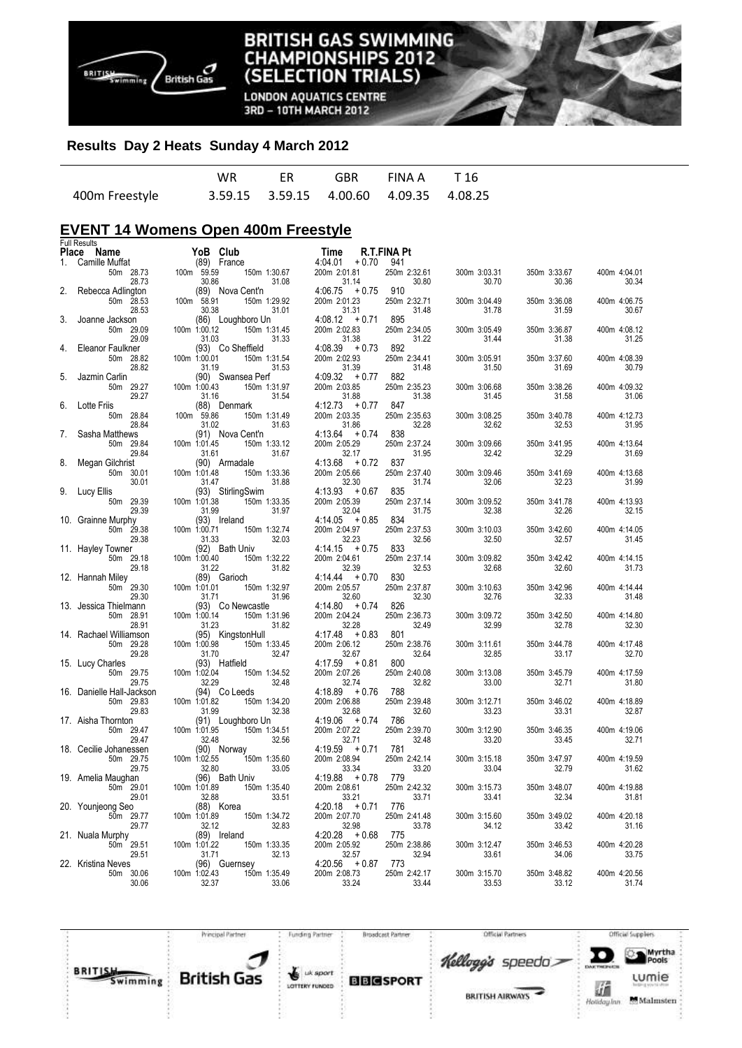

**LONDON AQUATICS CENTRE** 3RD - 10TH MARCH 2012

#### **Results Day 2 Heats Sunday 4 March 2012**

|                | WR. | FR | GBR FINAA T16                           |  |
|----------------|-----|----|-----------------------------------------|--|
| 400m Freestyle |     |    | 3.59.15 3.59.15 4.00.60 4.09.35 4.08.25 |  |

# **EVENT 14 Womens Open 400m Freestyle**

|       | <b>Full Results</b>             |                       |                                   |                           |                       |                       |                       |                       |
|-------|---------------------------------|-----------------------|-----------------------------------|---------------------------|-----------------------|-----------------------|-----------------------|-----------------------|
| Place | Name                            | YoB Club              |                                   | Time                      | R.T.FINA Pt           |                       |                       |                       |
| 1.    | Camille Muffat                  | (89) France           |                                   | 4:04.01<br>$+0.70$        | 941                   |                       |                       |                       |
|       | 50m 28.73<br>28.73              | 100m 59.59<br>30.86   | 150m 1:30.67<br>31.08             | 200m 2:01.81<br>31.14     | 250m 2:32.61<br>30.80 | 300m 3:03.31<br>30.70 | 350m 3:33.67<br>30.36 | 400m 4:04.01<br>30.34 |
| 2.    | Rebecca Adlington               |                       | (89) Nova Cent'n                  | $4:06.75 + 0.75$          | 910                   |                       |                       |                       |
|       | 50m 28.53                       | 100m 58.91            | 150m 1:29.92                      | 200m 2:01.23              | 250m 2:32.71          | 300m 3:04.49          | 350m 3:36.08          | 400m 4:06.75          |
|       | 28.53                           | 30.38                 | 31.01                             | 31.31                     | 31.48                 | 31.78                 | 31.59                 | 30.67                 |
| 3.    | Joanne Jackson                  |                       | (86) Loughboro Un                 | $4:08.12 + 0.71$          | 895                   |                       |                       |                       |
|       | 50m 29.09                       | 100m 1:00.12          | 150m 1:31.45                      | 200m 2:02.83              | 250m 2:34.05          | 300m 3:05.49          | 350m 3:36.87          | 400m 4:08.12          |
|       | 29.09                           | 31.03                 | 31.33                             | 31.38                     | 31.22                 | 31.44                 | 31.38                 | 31.25                 |
| 4.    | Eleanor Faulkner                |                       | (93) Co Sheffield                 | $4:08.39 + 0.73$          | 892                   |                       |                       |                       |
|       | 50m 28.82                       | 100m 1:00.01          | 150m 1:31.54                      | 200m 2:02.93              | 250m 2:34.41          | 300m 3:05.91          | 350m 3:37.60          | 400m 4:08.39          |
|       | 28.82                           | 31.19                 | 31.53                             | 31.39<br>$4:09.32 + 0.77$ | 31.48<br>882          | 31.50                 | 31.69                 | 30.79                 |
| 5.    | Jazmin Carlin<br>50m 29.27      | 100m 1:00.43          | (90) Swansea Perf<br>150m 1:31.97 | 200m 2:03.85              | 250m 2:35.23          | 300m 3:06.68          | 350m 3:38.26          | 400m 4:09.32          |
|       | 29.27                           | 31.16                 | 31.54                             | 31.88                     | 31.38                 | 31.45                 | 31.58                 | 31.06                 |
| 6.    | Lotte Friis                     |                       | (88) Denmark                      | $4:12.73 + 0.77$          | 847                   |                       |                       |                       |
|       | 50m 28.84                       | 100m 59.86            | 150m 1:31.49                      | 200m 2:03.35              | 250m 2:35.63          | 300m 3:08.25          | 350m 3:40.78          | 400m 4:12.73          |
|       | 28.84                           | 31.02                 | 31.63                             | 31.86                     | 32.28                 | 32.62                 | 32.53                 | 31.95                 |
| 7.    | Sasha Matthews                  |                       | (91) Nova Cent'n                  | $4:13.64 + 0.74$          | 838                   |                       |                       |                       |
|       | 50m 29.84                       | 100m 1:01.45          | 150m 1:33.12                      | 200m 2:05.29              | 250m 2:37.24          | 300m 3:09.66          | 350m 3:41.95          | 400m 4:13.64          |
|       | 29.84                           | 31.61                 | 31.67                             | 32.17                     | 31.95                 | 32.42                 | 32.29                 | 31.69                 |
| 8.    | Megan Gilchrist                 |                       | (90) Armadale                     | $4:13.68 + 0.72$          | 837                   |                       |                       |                       |
|       | 50m 30.01<br>30.01              | 100m 1:01.48<br>31.47 | 150m 1:33.36<br>31.88             | 200m 2:05.66<br>32.30     | 250m 2:37.40<br>31.74 | 300m 3:09.46<br>32.06 | 350m 3:41.69<br>32.23 | 400m 4:13.68<br>31.99 |
| 9.    | Lucy Ellis                      |                       | (93) StirlingSwim                 | $4:13.93 + 0.67$          | 835                   |                       |                       |                       |
|       | 50m 29.39                       | 100m 1:01.38          | 150m 1:33.35                      | 200m 2:05.39              | 250m 2:37.14          | 300m 3:09.52          | 350m 3:41.78          | 400m 4:13.93          |
|       | 29.39                           | 31.99                 | 31.97                             | 32.04                     | 31.75                 | 32.38                 | 32.26                 | 32.15                 |
|       | 10. Grainne Murphy              |                       | (93) Ireland                      | $4:14.05 + 0.85$          | 834                   |                       |                       |                       |
|       | 50m 29.38                       | 100m 1:00.71          | 150m 1:32.74                      | 200m 2:04.97              | 250m 2:37.53          | 300m 3:10.03          | 350m 3:42.60          | 400m 4:14.05          |
|       | 29.38                           | 31.33                 | 32.03                             | 32.23                     | 32.56                 | 32.50                 | 32.57                 | 31.45                 |
|       | 11. Hayley Towner               |                       | (92) Bath Univ                    | $4:14.15 + 0.75$          | 833                   |                       |                       |                       |
|       | 50m 29.18                       | 100m 1:00.40          | 150m 1:32.22                      | 200m 2:04.61              | 250m 2:37.14          | 300m 3:09.82          | 350m 3:42.42          | 400m 4:14.15          |
|       | 29.18<br>12. Hannah Miley       | 31.22                 | 31.82<br>(89) Garioch             | 32.39<br>$4:14.44 + 0.70$ | 32.53<br>830          | 32.68                 | 32.60                 | 31.73                 |
|       | 50m 29.30                       | 100m 1:01.01          | 150m 1:32.97                      | 200m 2:05.57              | 250m 2:37.87          | 300m 3:10.63          | 350m 3:42.96          | 400m 4:14.44          |
|       | 29.30                           | 31.71                 | 31.96                             | 32.60                     | 32.30                 | 32.76                 | 32.33                 | 31.48                 |
|       | 13. Jessica Thielmann           |                       | (93) Co Newcastle                 | $4:14.80 + 0.74$          | 826                   |                       |                       |                       |
|       | 50m 28.91                       | 100m 1:00.14          | 150m 1:31.96                      | 200m 2:04.24              | 250m 2:36.73          | 300m 3:09.72          | 350m 3:42.50          | 400m 4:14.80          |
|       | 28.91                           | 31.23                 | 31.82                             | 32.28                     | 32.49                 | 32.99                 | 32.78                 | 32.30                 |
|       | 14. Rachael Williamson          |                       | (95) KingstonHull                 | $4:17.48 + 0.83$          | 801                   |                       |                       |                       |
|       | 50m 29.28                       | 100m 1:00.98          | 150m 1:33.45                      | 200m 2:06.12              | 250m 2:38.76          | 300m 3:11.61          | 350m 3:44.78          | 400m 4:17.48          |
|       | 29.28<br>15. Lucy Charles       | 31.70                 | 32.47<br>(93) Hatfield            | 32.67<br>$4:17.59 + 0.81$ | 32.64<br>800          | 32.85                 | 33.17                 | 32.70                 |
|       | 50m 29.75                       | 100m 1:02.04          | 150m 1:34.52                      | 200m 2:07.26              | 250m 2:40.08          | 300m 3:13.08          | 350m 3:45.79          | 400m 4:17.59          |
|       | 29.75                           | 32.29                 | 32.48                             | 32.74                     | 32.82                 | 33.00                 | 32.71                 | 31.80                 |
|       | 16. Danielle Hall-Jackson       |                       | (94) Co Leeds                     | $4:18.89 + 0.76$          | 788                   |                       |                       |                       |
|       | 50m 29.83                       | 100m 1:01.82          | 150m 1:34.20                      | 200m 2:06.88              | 250m 2:39.48          | 300m 3:12.71          | 350m 3:46.02          | 400m 4:18.89          |
|       | 29.83                           | 31.99                 | 32.38                             | 32.68                     | 32.60                 | 33.23                 | 33.31                 | 32.87                 |
|       | 17. Aisha Thornton              |                       | (91) Loughboro Un                 | $4:19.06 + 0.74$          | 786                   |                       |                       |                       |
|       | 50m 29.47                       | 100m 1:01.95          | 150m 1:34.51                      | 200m 2:07.22              | 250m 2:39.70          | 300m 3:12.90          | 350m 3:46.35          | 400m 4:19.06          |
|       | 29.47<br>18. Cecilie Johanessen | 32.48                 | 32.56<br>(90) Norway              | 32.71<br>$4:19.59 + 0.71$ | 32.48<br>781          | 33.20                 | 33.45                 | 32.71                 |
|       | 50m 29.75                       | 100m 1:02.55          | 150m 1:35.60                      | 200m 2:08.94              | 250m 2:42.14          | 300m 3:15.18          | 350m 3:47.97          | 400m 4:19.59          |
|       | 29.75                           | 32.80                 | 33.05                             | 33.34                     | 33.20                 | 33.04                 | 32.79                 | 31.62                 |
|       | 19. Amelia Maughan              |                       | (96) Bath Univ                    | 4:19.88<br>+ 0.78         | 779                   |                       |                       |                       |
|       | 50m 29.01                       | 100m 1:01.89          | 150m 1:35.40                      | 200m 2:08.61              | 250m 2:42.32          | 300m 3:15.73          | 350m 3:48.07          | 400m 4:19.88          |
|       | 29.01                           | 32.88                 | 33.51                             | 33.21                     | 33.71                 | 33.41                 | 32.34                 | 31.81                 |
|       | 20. Younjeong Seo               | (88) Korea            |                                   | $4:20.18 + 0.71$          | 776                   |                       |                       |                       |
|       | 50m 29.77                       | 100m 1:01.89          | 150m 1:34.72                      | 200m 2:07.70              | 250m 2:41.48          | 300m 3:15.60          | 350m 3:49.02          | 400m 4:20.18          |
|       | 29.77<br>21. Nuala Murphy       | 32.12<br>(89) Ireland | 32.83                             | 32.98<br>$4:20.28 + 0.68$ | 33.78<br>775          | 34.12                 | 33.42                 | 31.16                 |
|       | 50m 29.51                       | 100m 1:01.22          | 150m 1:33.35                      | 200m 2:05.92              | 250m 2:38.86          | 300m 3:12.47          | 350m 3:46.53          | 400m 4:20.28          |
|       | 29.51                           | 31.71                 | 32.13                             | 32.57                     | 32.94                 | 33.61                 | 34.06                 | 33.75                 |
|       | 22. Kristina Neves              |                       | (96) Guernsey                     | $4:20.56 + 0.87$          | 773                   |                       |                       |                       |
|       | 50m 30.06                       | 100m 1:02.43          | 150m 1:35.49                      | 200m 2:08.73              | 250m 2:42.17          | 300m 3:15.70          | 350m 3:48.82          | 400m 4:20.56          |
|       | 30.06                           | 32.37                 | 33.06                             | 33.24                     | 33.44                 | 33.53                 | 33.12                 | 31.74                 |
|       |                                 |                       |                                   |                           |                       |                       |                       |                       |

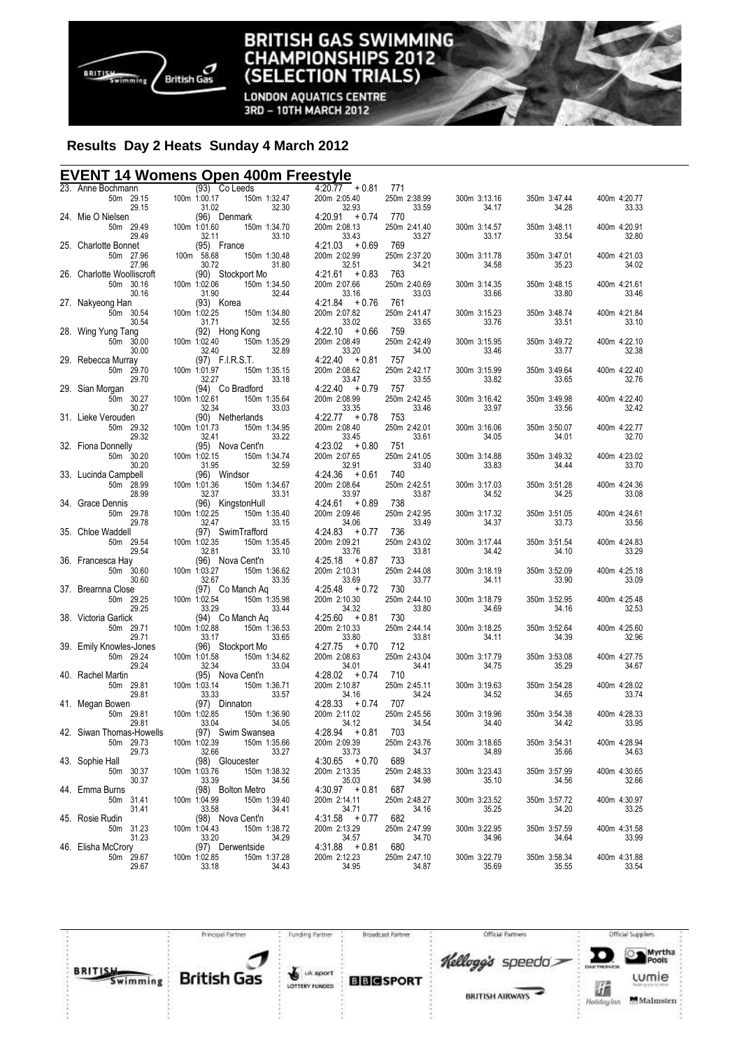

#### **BRITISH GAS SWIMMING IAMPIONSHIPS 2012** CH **(SELECTION TRIALS)**

**LONDON AQUATICS CENTRE** 3RD - 10TH MARCH 2012

# **Results Day 2 Heats Sunday 4 March 2012**

## **EVENT 14 Womens Open 400m Freestyle**

| 23. Anne Bochmann                   | $(93)$ Co Leeds                   |       | $4:20.77 + 0.81$          | 771                   |                       |                       |                       |
|-------------------------------------|-----------------------------------|-------|---------------------------|-----------------------|-----------------------|-----------------------|-----------------------|
| 50m 29.15                           | 100m 1:00.17<br>150m 1:32.47      |       | 200m 2:05.40              | 250m 2:38.99          | 300m 3:13.16          | 350m 3:47.44          | 400m 4:20.77          |
| 29.15                               | 31.02                             | 32.30 | 32.93                     | 33.59                 | 34.17                 | 34.28                 | 33.33                 |
| 24. Mie O Nielsen                   | (96) Denmark                      |       | $4:20.91 + 0.74$          | 770                   |                       |                       |                       |
| 50m 29.49                           | 150m 1:34.70<br>100m 1:01.60      |       | 200m 2:08.13              | 250m 2:41.40          | 300m 3:14.57          | 350m 3:48.11          | 400m 4:20.91          |
| 29.49                               | 32.11                             | 33.10 | 33.43                     | 33.27                 | 33.17                 | 33.54                 | 32.80                 |
| 25. Charlotte Bonnet                | (95) France                       |       | $4:21.03 + 0.69$          | 769                   |                       |                       |                       |
| 50m 27.96                           | 100m 58.68<br>150m 1:30.48        |       | 200m 2:02.99              | 250m 2:37.20          | 300m 3:11.78          | 350m 3:47.01          | 400m 4:21.03          |
| 27.96<br>26. Charlotte Woolliscroft | 30.72<br>(90) Stockport Mo        | 31.80 | 32.51<br>$4:21.61 + 0.83$ | 34.21<br>763          | 34.58                 | 35.23                 | 34.02                 |
| 50m 30.16                           | 100m 1:02.06<br>150m 1:34.50      |       | 200m 2:07.66              | 250m 2:40.69          | 300m 3:14.35          | 350m 3:48.15          | 400m 4:21.61          |
| 30.16                               | 31.90                             | 32.44 | 33.16                     | 33.03                 | 33.66                 | 33.80                 | 33.46                 |
| 27. Nakyeong Han                    | (93) Korea                        |       | $4:21.84 + 0.76$          | 761                   |                       |                       |                       |
| 50m 30.54                           | 100m 1:02.25<br>150m 1:34.80      |       | 200m 2:07.82              | 250m 2:41.47          | 300m 3:15.23          | 350m 3:48.74          | 400m 4:21.84          |
| 30.54                               | 31.71                             | 32.55 | 33.02                     | 33.65                 | 33.76                 | 33.51                 | 33.10                 |
| 28. Wing Yung Tang                  | (92) Hong Kong                    |       | $4:22.10 + 0.66$          | 759                   |                       |                       |                       |
| 50m 30.00                           | 100m 1:02.40<br>150m 1:35.29      |       | 200m 2:08.49              | 250m 2:42.49          | 300m 3:15.95          | 350m 3:49.72          | 400m 4:22.10          |
| 30.00                               | 32.40                             | 32.89 | 33.20                     | 34.00                 | 33.46                 | 33.77                 | 32.38                 |
| 29. Rebecca Murray                  | (97) F.I.R.S.T.                   |       | $4:22.40 + 0.81$          | 757                   |                       |                       |                       |
| 50m 29.70                           | 100m 1:01.97<br>150m 1:35.15      |       | 200m 2:08.62              | 250m 2:42.17          | 300m 3:15.99          | 350m 3:49.64          | 400m 4:22.40          |
| 29.70                               | 32.27                             | 33.18 | 33.47                     | 33.55                 | 33.82                 | 33.65                 | 32.76                 |
| 29. Sian Morgan                     | (94) Co Bradford                  |       | $4:22.40 + 0.79$          | 757                   |                       |                       |                       |
| 50m 30.27                           | 100m 1:02.61<br>150m 1:35.64      |       | 200m 2:08.99              | 250m 2:42.45          | 300m 3:16.42          | 350m 3:49.98          | 400m 4:22.40          |
| 30.27                               | 32.34                             | 33.03 | 33.35                     | 33.46                 | 33.97                 | 33.56                 | 32.42                 |
| 31. Lieke Verouden                  | (90) Netherlands                  |       | $4:22.77 + 0.78$          | 753                   |                       |                       |                       |
| 50m 29.32                           | 100m 1:01.73<br>150m 1:34.95      |       | 200m 2:08.40              | 250m 2:42.01          | 300m 3:16.06          | 350m 3:50.07          | 400m 4:22.77          |
| 29.32                               | 32.41                             | 33.22 | 33.45                     | 33.61                 | 34.05                 | 34.01                 | 32.70                 |
| 32. Fiona Donnelly                  | (95) Nova Cent'n                  |       | $4:23.02 + 0.80$          | 751                   |                       |                       |                       |
| 50m 30.20                           | 100m 1:02.15<br>150m 1:34.74      |       | 200m 2:07.65              | 250m 2:41.05          | 300m 3:14.88          | 350m 3:49.32          | 400m 4:23.02          |
| 30.20                               | 31.95                             | 32.59 | 32.91                     | 33.40                 | 33.83                 | 34.44                 | 33.70                 |
| 33. Lucinda Campbell                | (96) Windsor                      |       | $4:24.36 + 0.61$          | 740                   |                       |                       |                       |
| 50m 28.99                           | 100m 1:01.36<br>150m 1:34.67      |       | 200m 2:08.64              | 250m 2:42.51          | 300m 3:17.03          | 350m 3:51.28          | 400m 4:24.36          |
| 28.99                               | 32.37                             | 33.31 | 33.97                     | 33.87                 | 34.52                 | 34.25                 | 33.08                 |
| 34. Grace Dennis                    | (96) KingstonHull                 |       | $4:24.61 + 0.89$          | 738                   |                       |                       |                       |
| 50m 29.78                           | 100m 1:02.25<br>150m 1:35.40      |       | 200m 2:09.46              | 250m 2:42.95          | 300m 3:17.32          | 350m 3:51.05          | 400m 4:24.61          |
| 29.78                               | 32.47                             | 33.15 | 34.06                     | 33.49                 | 34.37                 | 33.73                 | 33.56                 |
| 35. Chloe Waddell                   | (97) SwimTrafford<br>100m 1:02.35 |       | $4:24.83 + 0.77$          | 736                   |                       |                       |                       |
| 50m 29.54<br>29.54                  | 150m 1:35.45<br>32.81             | 33.10 | 200m 2:09.21<br>33.76     | 250m 2:43.02<br>33.81 | 300m 3:17.44<br>34.42 | 350m 3:51.54<br>34.10 | 400m 4:24.83<br>33.29 |
| 36. Francesca Hay                   | (96) Nova Cent'n                  |       | $4:25.18 + 0.87$          | 733                   |                       |                       |                       |
| 50m 30.60                           | 100m 1:03.27<br>150m 1:36.62      |       | 200m 2:10.31              | 250m 2:44.08          | 300m 3:18.19          | 350m 3:52.09          | 400m 4:25.18          |
| 30.60                               | 32.67                             | 33.35 | 33.69                     | 33.77                 | 34.11                 | 33.90                 | 33.09                 |
| 37. Brearnna Close                  | (97) Co Manch Aq                  |       | $4:25.48 + 0.72$          | 730                   |                       |                       |                       |
| 50m 29.25                           | 100m 1:02.54<br>150m 1:35.98      |       | 200m 2:10.30              | 250m 2:44.10          | 300m 3:18.79          | 350m 3:52.95          | 400m 4:25.48          |
| 29.25                               | 33.29                             | 33.44 | 34.32                     | 33.80                 | 34.69                 | 34.16                 | 32.53                 |
| 38. Victoria Garlick                | (94) Co Manch Aq                  |       | $4:25.60 + 0.81$          | 730                   |                       |                       |                       |
| 50m 29.71                           | 100m 1:02.88<br>150m 1:36.53      |       | 200m 2:10.33              | 250m 2:44.14          | 300m 3:18.25          | 350m 3:52.64          | 400m 4:25.60          |
| 29.71                               | 33.17                             | 33.65 | 33.80                     | 33.81                 | 34.11                 | 34.39                 | 32.96                 |
| 39. Emily Knowles-Jones             | (96) Stockport Mo                 |       | $4:27.75 + 0.70$          | 712                   |                       |                       |                       |
| 50m 29.24                           | 100m 1:01.58<br>150m 1:34.62      |       | 200m 2:08.63              | 250m 2:43.04          | 300m 3:17.79          | 350m 3:53.08          | 400m 4:27.75          |
| 29.24                               | 32.34                             | 33.04 | 34.01                     | 34.41                 | 34.75                 | 35.29                 | 34.67                 |
| 40. Rachel Martin                   | (95) Nova Cent'n                  |       | $4:28.02 + 0.74$          | 710                   |                       |                       |                       |
| 50m 29.81                           | 100m 1:03.14<br>150m 1:36.71      |       | 200m 2:10.87              | 250m 2:45.11          | 300m 3:19.63          | 350m 3:54.28          | 400m 4:28.02          |
| 29.81                               | 33.33                             | 33.57 | 34.16                     | 34.24                 | 34.52                 | 34.65                 | 33.74                 |
| 41. Megan Bowen                     | (97) Dinnaton                     |       | $4:28.33 + 0.74$          | 707                   |                       |                       |                       |
| 50m 29.81                           | 100m 1:02.85<br>150m 1:36.90      |       | 200m 2:11.02              | 250m 2:45.56          | 300m 3:19.96          | 350m 3:54.38          | 400m 4:28.33          |
| 29.81                               | 33.04                             | 34.05 | 34.12                     | 34.54                 | 34.40                 | 34.42                 | 33.95                 |
| 42. Siwan Thomas-Howells            | (97) Swim Swansea                 |       | $4:28.94 + 0.81$          | 703                   |                       |                       |                       |
| 50m 29.73                           | 100m 1:02.39<br>150m 1:35.66      |       | 200m 2:09.39              | 250m 2:43.76          | 300m 3:18.65          | 350m 3:54.31          | 400m 4:28.94          |
| 29.73<br>43. Sophie Hall            | 32.66<br>(98) Gloucester          | 33.27 | 33.73<br>$4:30.65 + 0.70$ | 34.37<br>689          | 34.89                 | 35.66                 | 34.63                 |
| 50m 30.37                           | 150m 1:38.32<br>100m 1:03.76      |       | 200m 2:13.35              | 250m 2:48.33          | 300m 3:23.43          | 350m 3:57.99          | 400m 4:30.65          |
| 30.37                               | 33.39                             | 34.56 | 35.03                     | 34.98                 | 35.10                 | 34.56                 | 32.66                 |
| 44. Emma Burns                      | (98) Bolton Metro                 |       | $4:30.97 + 0.81$          | 687                   |                       |                       |                       |
| 50m 31.41                           | 100m 1:04.99<br>150m 1:39.40      |       | 200m 2:14.11              | 250m 2:48.27          | 300m 3:23.52          | 350m 3:57.72          | 400m 4:30.97          |
| 31.41                               | 33.58                             | 34.41 |                           | 34.16                 | 35.25                 | 34.20                 | 33.25                 |
| 45. Rosie Rudin                     | (98) Nova Cent'n                  |       | $34.71$<br>4:31.58 + 0.77 | 682                   |                       |                       |                       |
| 50m 31.23                           | 100m 1:04.43<br>150m 1:38.72      |       | 200m 2:13.29              | 250m 2:47.99          | 300m 3:22.95          | 350m 3:57.59          | 400m 4:31.58          |
| 31.23                               | 33.20                             | 34.29 | 34.57                     | 34.70                 | 34.96                 | 34.64                 | 33.99                 |
| 46. Elisha McCrory                  | (97) Derwentside                  |       | $4:31.88 + 0.81$          | 680                   |                       |                       |                       |
| 50m 29.67                           | 100m 1:02.85<br>150m 1:37.28      |       | 200m 2:12.23              | 250m 2:47.10          | 300m 3:22.79          | 350m 3:58.34          | 400m 4:31.88          |
| 29.67                               | 33.18                             | 34.43 | 34.95                     | 34.87                 | 35.69                 | 35.55                 | 33.54                 |
|                                     |                                   |       |                           |                       |                       |                       |                       |

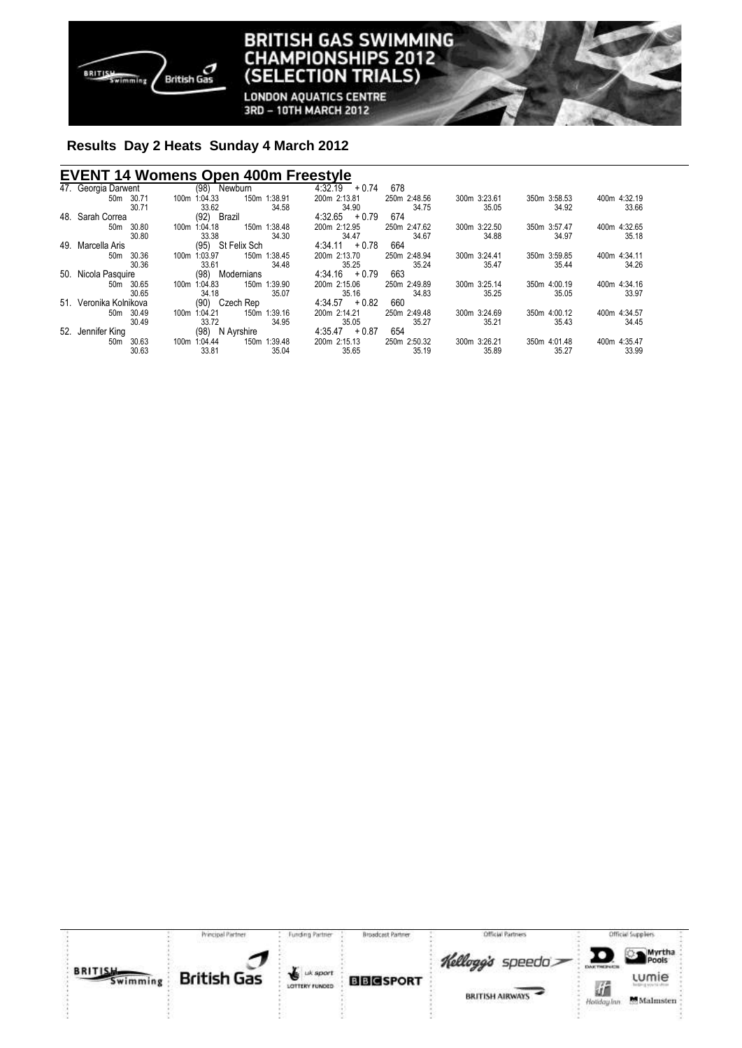

**LONDON AQUATICS CENTRE** 3RD - 10TH MARCH 2012

# **Results Day 2 Heats Sunday 4 March 2012**

## **EVENT 14 Womens Open 400m Freestyle**

| 47. Georgia Darwent    | (98)<br>Newburn                                | 4:32.19<br>678<br>$+0.74$    |              |              |              |
|------------------------|------------------------------------------------|------------------------------|--------------|--------------|--------------|
| 50m 30.71              | 1:04.33<br>150m 1:38.91<br>100m                | 250m 2:48.56<br>200m 2:13.81 | 300m 3:23.61 | 350m 3:58.53 | 400m 4:32.19 |
| 30.71                  | 34.58<br>33.62                                 | 34.90<br>34.75               | 35.05        | 34.92        | 33.66        |
| 48. Sarah Correa       | (92) Brazil                                    | $4:32.65 + 0.79$<br>674      |              |              |              |
| 50m 30.80              | 1:38.48<br>1:04.18<br>150 <sub>m</sub><br>100m | 200m 2:12.95<br>250m 2:47.62 | 300m 3:22.50 | 350m 3:57.47 | 400m 4:32.65 |
| 30.80                  | 33.38<br>34.30                                 | 34.47<br>34.67               | 34.88        | 34.97        | 35.18        |
| 49. Marcella Aris      | (95) St Felix Sch                              | 664<br>$4:34.11 + 0.78$      |              |              |              |
| 50m 30.36              | 150m 1:38.45<br>1:03.97<br>100m                | 200m 2:13.70<br>250m 2:48.94 | 300m 3:24.41 | 350m 3:59.85 | 400m 4:34.11 |
| 30.36                  | 34.48<br>33.61                                 | 35.25<br>35.24               | 35.47        | 35.44        | 34.26        |
| 50. Nicola Pasquire    | Modernians<br>(98)                             | $4:34.16 + 0.79$<br>663      |              |              |              |
| 50m 30.65              | 1:39.90<br>1:04.83<br>150 <sub>m</sub><br>100m | 250m 2:49.89<br>200m 2:15.06 | 300m 3:25.14 | 350m 4:00.19 | 400m 4:34.16 |
| 30.65                  | 35.07<br>34.18                                 | 35.16<br>34.83               | 35.25        | 35.05        | 33.97        |
| 51. Veronika Kolnikova | Czech Rep<br>(90)                              | $4:34.57 + 0.82$<br>660      |              |              |              |
| 50m 30.49              | 1:04.21<br>1:39.16<br>150 <sub>m</sub><br>100m | 200m 2:14.21<br>250m 2:49.48 | 300m 3:24.69 | 350m 4:00.12 | 400m 4:34.57 |
| 30.49                  | 34.95<br>33.72                                 | 35.05<br>35.27               | 35.21        | 35.43        | 34.45        |
| 52. Jennifer King      | N Ayrshire<br>(98)                             | $4:35.47 + 0.87$<br>654      |              |              |              |
| 50m 30.63              | 1:04.44<br>150m 1:39.48<br>100m                | 200m 2:15.13<br>250m 2:50.32 | 300m 3:26.21 | 350m 4:01.48 | 400m 4:35.47 |
| 30.63                  | 33.81<br>35.04                                 | 35.65<br>35.19               | 35.89        | 35.27        | 33.99        |

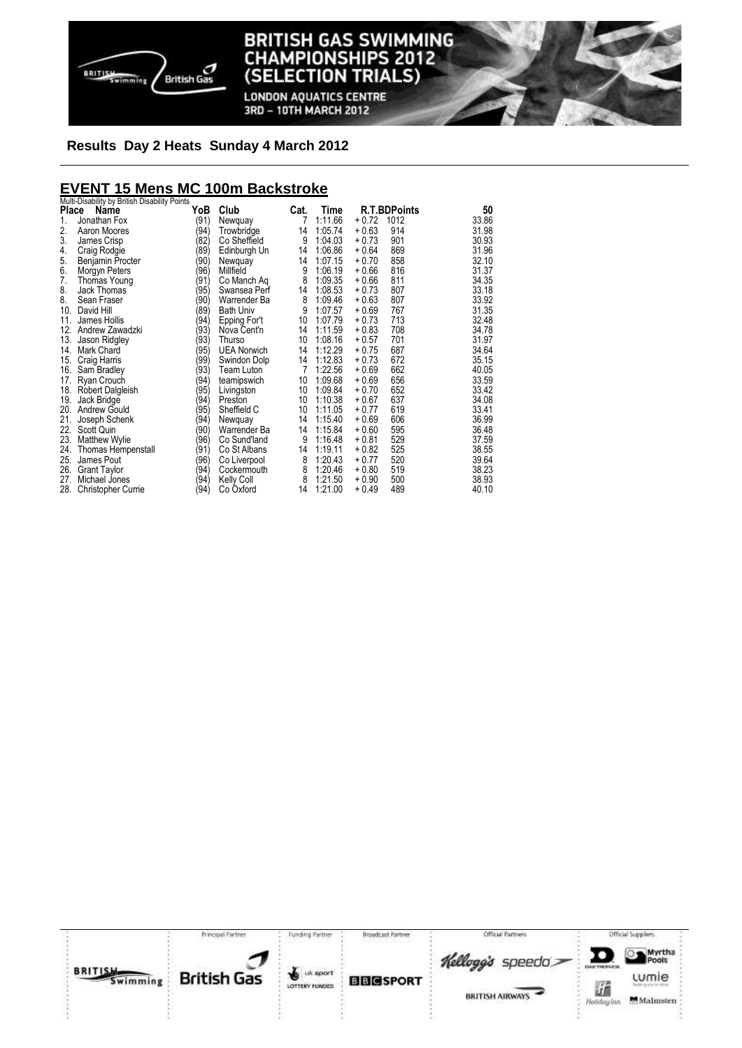

**LONDON AQUATICS CENTRE** 3RD - 10TH MARCH 2012

## **Results Day 2 Heats Sunday 4 March 2012**

# **EVENT 15 Mens MC 100m Backstroke**  Multi-Disability by British Disability Points

| Place | <b>MULL-DISAMILLY DY DHUSH DISAMILLY FULLIS</b><br>Name | YoB  | Club               | Cat. | Time    |         | <b>R.T.BDPoints</b> | 50    |
|-------|---------------------------------------------------------|------|--------------------|------|---------|---------|---------------------|-------|
| 1.    | Jonathan Fox                                            | (91) | Newquay            | 7    | 1:11.66 | $+0.72$ | 1012                | 33.86 |
| 2.    | Aaron Moores                                            | (94) | Trowbridge         | 14   | 1:05.74 | $+0.63$ | 914                 | 31.98 |
| 3.    | James Crisp                                             | (82) | Co Sheffield       | 9    | 1:04.03 | $+0.73$ | 901                 | 30.93 |
| 4.    | Craig Rodgie                                            | (89) | Edinburgh Un       | 14   | 1:06.86 | $+0.64$ | 869                 | 31.96 |
| 5.    | Benjamin Procter                                        | (90) | Newquay            | 14   | 1:07.15 | $+0.70$ | 858                 | 32.10 |
| 6.    | Morgyn Peters                                           | (96) | Millfield          | 9    | 1:06.19 | $+0.66$ | 816                 | 31.37 |
| 7.    | Thomas Young                                            | (91) | Co Manch Aq        | 8    | 1:09.35 | $+0.66$ | 811                 | 34.35 |
| 8.    | Jack Thomas                                             | (95) | Swansea Perf       | 14   | 1:08.53 | $+0.73$ | 807                 | 33.18 |
| 8.    | Sean Fraser                                             | (90) | Warrender Ba       | 8    | 1:09.46 | $+0.63$ | 807                 | 33.92 |
| 10.   | David Hill                                              | (89) | <b>Bath Univ</b>   | 9    | 1:07.57 | $+0.69$ | 767                 | 31.35 |
| 11.   | James Hollis                                            | (94) | Epping For't       | 10   | 1:07.79 | $+0.73$ | 713                 | 32.48 |
| 12.   | Andrew Zawadzki                                         | (93) | Nova Cent'n        | 14   | 1:11.59 | $+0.83$ | 708                 | 34.78 |
| 13.   | Jason Ridgley                                           | (93) | Thurso             | 10   | 1:08.16 | $+0.57$ | 701                 | 31.97 |
| 14.   | Mark Chard                                              | (95) | <b>UEA Norwich</b> | 14   | 1:12.29 | + 0.75  | 687                 | 34.64 |
| 15.   | Craig Harris                                            | (99) | Swindon Dolp       | 14   | 1:12.83 | $+0.73$ | 672                 | 35.15 |
| 16.   | Sam Bradley                                             | (93) | Team Luton         | 7    | 1:22.56 | $+0.69$ | 662                 | 40.05 |
| 17.   | Ryan Crouch                                             | (94) | teamipswich        | 10   | 1:09.68 | $+0.69$ | 656                 | 33.59 |
|       | 18. Robert Dalgleish                                    | (95) | Livingston         | 10   | 1:09.84 | + 0.70  | 652                 | 33.42 |
| 19.   | Jack Bridge                                             | (94) | Preston            | 10   | 1:10.38 | $+0.67$ | 637                 | 34.08 |
|       | 20. Andrew Gould                                        | (95) | Sheffield C        | 10   | 1:11.05 | $+0.77$ | 619                 | 33.41 |
| 21.   | Joseph Schenk                                           | (94) | Newquay            | 14   | 1:15.40 | $+0.69$ | 606                 | 36.99 |
| 22.   | Scott Quin                                              | (90) | Warrender Ba       | 14   | 1:15.84 | $+0.60$ | 595                 | 36.48 |
| 23.   | <b>Matthew Wylie</b>                                    | (96) | Co Sund'land       | 9    | 1:16.48 | $+0.81$ | 529                 | 37.59 |
|       | 24. Thomas Hempenstall                                  | (91) | Co St Albans       | 14   | 1:19.11 | $+0.82$ | 525                 | 38.55 |
| 25.   | James Pout                                              | (96) | Co Liverpool       | 8    | 1:20.43 | $+0.77$ | 520                 | 39.64 |
| 26.   | <b>Grant Taylor</b>                                     | (94) | Cockermouth        | 8    | 1:20.46 | $+0.80$ | 519                 | 38.23 |
| 27.   | Michael Jones                                           | (94) | <b>Kelly Coll</b>  | 8    | 1:21.50 | + 0.90  | 500                 | 38.93 |
| 28.   | <b>Christopher Currie</b>                               | (94) | Co Oxford          | 14   | 1:21.00 | + 0.49  | 489                 | 40.10 |